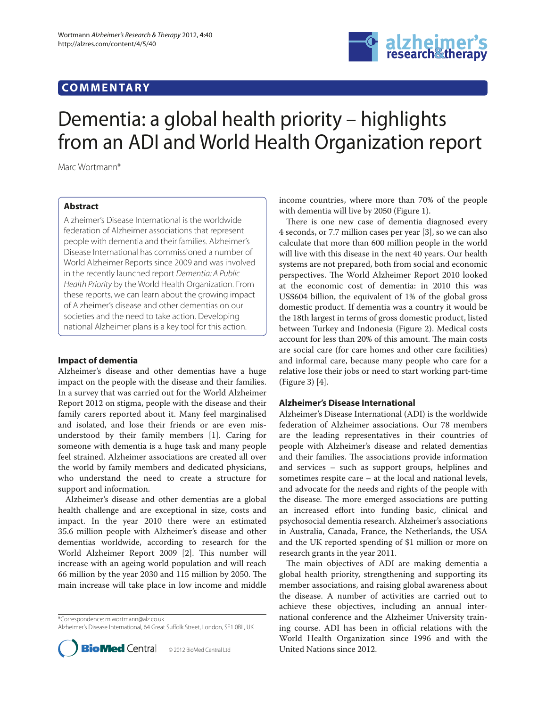# **COMMENTARY**



# Dementia: a global health priority – highlights from an ADI and World Health Organization report

Marc Wortmann\*

# **Abstract**

Alzheimer's Disease International is the worldwide federation of Alzheimer associations that represent people with dementia and their families. Alzheimer's Disease International has commissioned a number of World Alzheimer Reports since 2009 and was involved in the recently launched report Dementia: A Public Health Priority by the World Health Organization. From these reports, we can learn about the growing impact of Alzheimer's disease and other dementias on our societies and the need to take action. Developing national Alzheimer plans is a key tool for this action.

## **Impact of dementia**

Alzheimer's disease and other dementias have a huge impact on the people with the disease and their families. In a survey that was carried out for the World Alzheimer Report 2012 on stigma, people with the disease and their family carers reported about it. Many feel marginalised and isolated, and lose their friends or are even misunderstood by their family members [1]. Caring for someone with dementia is a huge task and many people feel strained. Alzheimer associations are created all over the world by family members and dedicated physicians, who understand the need to create a structure for support and information.

Alzheimer's disease and other dementias are a global health challenge and are exceptional in size, costs and impact. In the year 2010 there were an estimated 35.6 million people with Alzheimer's disease and other dementias worldwide, according to research for the World Alzheimer Report 2009 [2]. This number will increase with an ageing world population and will reach 66 million by the year 2030 and 115 million by 2050. The main increase will take place in low income and middle

\*Correspondence: m.wortmann@alz.co.uk Alzheimer's Disease International, 64 Great Suffolk Street, London, SE1 0BL, UK



income countries, where more than 70% of the people with dementia will live by 2050 (Figure 1).

There is one new case of dementia diagnosed every 4 seconds, or 7.7 million cases per year [3], so we can also calculate that more than 600 million people in the world will live with this disease in the next 40 years. Our health systems are not prepared, both from social and economic perspectives. The World Alzheimer Report 2010 looked at the economic cost of dementia: in 2010 this was US\$604 billion, the equivalent of 1% of the global gross domestic product. If dementia was a country it would be the 18th largest in terms of gross domestic product, listed between Turkey and Indonesia (Figure 2). Medical costs account for less than 20% of this amount. The main costs are social care (for care homes and other care facilities) and informal care, because many people who care for a relative lose their jobs or need to start working part-time (Figure 3) [4].

### **Alzheimer's Disease International**

Alzheimer's Disease International (ADI) is the worldwide federation of Alzheimer associations. Our 78 members are the leading representatives in their countries of people with Alzheimer's disease and related dementias and their families. The associations provide information and services – such as support groups, helplines and sometimes respite care – at the local and national levels, and advocate for the needs and rights of the people with the disease. The more emerged associations are putting an increased effort into funding basic, clinical and psychosocial dementia research. Alzheimer's associations in Australia, Canada, France, the Netherlands, the USA and the UK reported spending of \$1 million or more on research grants in the year 2011.

The main objectives of ADI are making dementia a global health priority, strengthening and supporting its member associations, and raising global awareness about the disease. A number of activities are carried out to achieve these objectives, including an annual international conference and the Alzheimer University training course. ADI has been in official relations with the World Health Organization since 1996 and with the United Nations since 2012.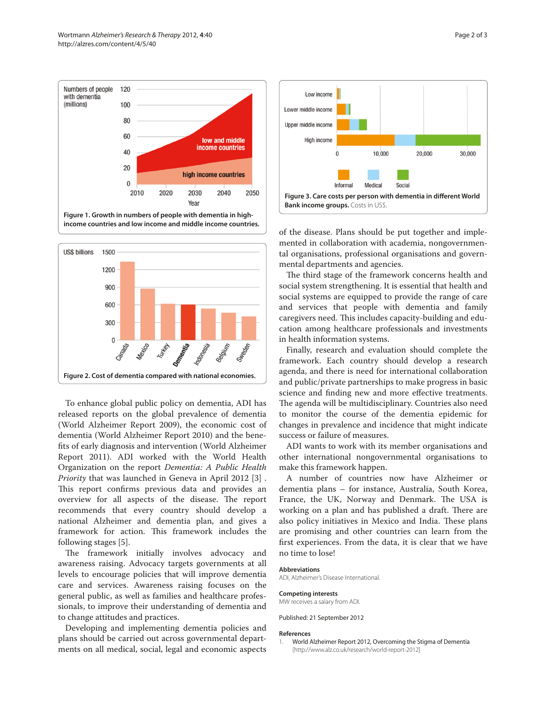



To enhance global public policy on dementia, ADI has released reports on the global prevalence of dementia (World Alzheimer Report 2009), the economic cost of dementia (World Alzheimer Report 2010) and the benefits of early diagnosis and intervention (World Alzheimer Report 2011). ADI worked with the World Health Organization on the report *Dementia: A Public Health Priority* that was launched in Geneva in April 2012 [3] . This report confirms previous data and provides an overview for all aspects of the disease. The report recommends that every country should develop a national Alzheimer and dementia plan, and gives a framework for action. This framework includes the following stages [5].

The framework initially involves advocacy and awareness raising. Advocacy targets governments at all levels to encourage policies that will improve dementia care and services. Awareness raising focuses on the general public, as well as families and healthcare professionals, to improve their understanding of dementia and to change attitudes and practices.

Developing and implementing dementia policies and plans should be carried out across governmental departments on all medical, social, legal and economic aspects



of the disease. Plans should be put together and implemented in collaboration with academia, nongovernmental organisations, professional organisations and governmental departments and agencies.

The third stage of the framework concerns health and social system strengthening. It is essential that health and social systems are equipped to provide the range of care and services that people with dementia and family caregivers need. This includes capacity-building and education among healthcare professionals and investments in health information systems.

Finally, research and evaluation should complete the framework. Each country should develop a research agenda, and there is need for international collaboration and public/private partnerships to make progress in basic science and finding new and more effective treatments. The agenda will be multidisciplinary. Countries also need to monitor the course of the dementia epidemic for changes in prevalence and incidence that might indicate success or failure of measures.

ADI wants to work with its member organisations and other international nongovernmental organisations to make this framework happen.

A number of countries now have Alzheimer or dementia plans – for instance, Australia, South Korea, France, the UK, Norway and Denmark. The USA is working on a plan and has published a draft. There are also policy initiatives in Mexico and India. These plans are promising and other countries can learn from the first experiences. From the data, it is clear that we have no time to lose!

#### **Abbreviations**

ADI, Alzheimer's Disease International.

#### **Competing interests**

MW receives a salary from ADI.

Published: 21 September 2012

#### **References**

1. World Alzheimer Report 2012, Overcoming the Stigma of Dementia [http://www.alz.co.uk/research/world-report-2012]